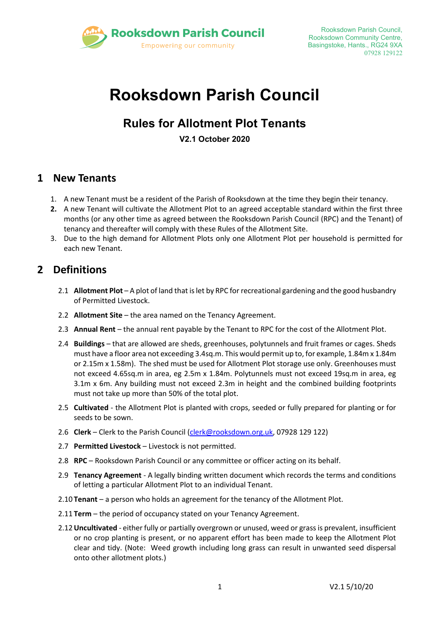

# **Rooksdown Parish Council**

# **Rules for Allotment Plot Tenants**

**V2.1 October 2020**

## **1 New Tenants**

- 1. A new Tenant must be a resident of the Parish of Rooksdown at the time they begin their tenancy.
- **2.** A new Tenant will cultivate the Allotment Plot to an agreed acceptable standard within the first three months (or any other time as agreed between the Rooksdown Parish Council (RPC) and the Tenant) of tenancy and thereafter will comply with these Rules of the Allotment Site.
- 3. Due to the high demand for Allotment Plots only one Allotment Plot per household is permitted for each new Tenant.

## **2 Definitions**

- 2.1 **Allotment Plot** A plot of land that is let by RPC for recreational gardening and the good husbandry of Permitted Livestock.
- 2.2 **Allotment Site** the area named on the Tenancy Agreement.
- 2.3 **Annual Rent** the annual rent payable by the Tenant to RPC for the cost of the Allotment Plot.
- 2.4 **Buildings**  that are allowed are sheds, greenhouses, polytunnels and fruit frames or cages. Sheds must have a floor area not exceeding 3.4sq.m. This would permit up to, for example, 1.84m x 1.84m or 2.15m x 1.58m). The shed must be used for Allotment Plot storage use only. Greenhouses must not exceed 4.65sq.m in area, eg 2.5m x 1.84m. Polytunnels must not exceed 19sq.m in area, eg 3.1m x 6m. Any building must not exceed 2.3m in height and the combined building footprints must not take up more than 50% of the total plot.
- 2.5 **Cultivated** the Allotment Plot is planted with crops, seeded or fully prepared for planting or for seeds to be sown.
- 2.6 **Clerk**  Clerk to the Parish Council [\(clerk@rooksdown.org.uk,](mailto:clerk@rooksdown.org.uk) 07928 129 122)
- 2.7 **Permitted Livestock** Livestock is not permitted.
- 2.8 **RPC** Rooksdown Parish Council or any committee or officer acting on its behalf.
- 2.9 **Tenancy Agreement** A legally binding written document which records the terms and conditions of letting a particular Allotment Plot to an individual Tenant.
- 2.10 **Tenant**  a person who holds an agreement for the tenancy of the Allotment Plot.
- 2.11 **Term** the period of occupancy stated on your Tenancy Agreement.
- 2.12**Uncultivated**  either fully or partially overgrown or unused, weed or grass is prevalent, insufficient or no crop planting is present, or no apparent effort has been made to keep the Allotment Plot clear and tidy. (Note: Weed growth including long grass can result in unwanted seed dispersal onto other allotment plots.)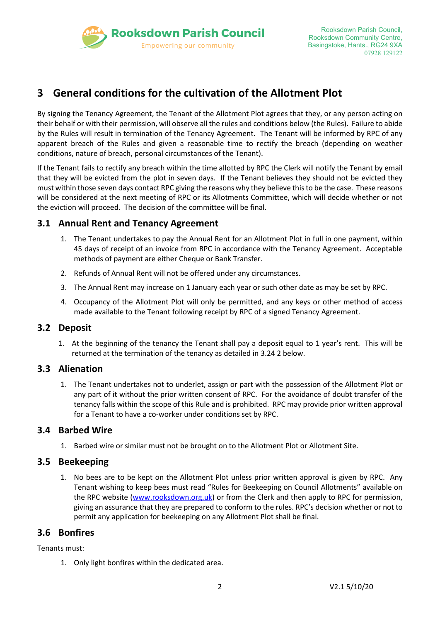

# **3 General conditions for the cultivation of the Allotment Plot**

By signing the Tenancy Agreement, the Tenant of the Allotment Plot agrees that they, or any person acting on their behalf or with their permission, will observe all the rules and conditions below (the Rules). Failure to abide by the Rules will result in termination of the Tenancy Agreement. The Tenant will be informed by RPC of any apparent breach of the Rules and given a reasonable time to rectify the breach (depending on weather conditions, nature of breach, personal circumstances of the Tenant).

If the Tenant fails to rectify any breach within the time allotted by RPC the Clerk will notify the Tenant by email that they will be evicted from the plot in seven days. If the Tenant believes they should not be evicted they must within those seven days contact RPC giving the reasons why they believe this to be the case. These reasons will be considered at the next meeting of RPC or its Allotments Committee, which will decide whether or not the eviction will proceed. The decision of the committee will be final.

#### **3.1 Annual Rent and Tenancy Agreement**

- 1. The Tenant undertakes to pay the Annual Rent for an Allotment Plot in full in one payment, within 45 days of receipt of an invoice from RPC in accordance with the Tenancy Agreement. Acceptable methods of payment are either Cheque or Bank Transfer.
- 2. Refunds of Annual Rent will not be offered under any circumstances.
- 3. The Annual Rent may increase on 1 January each year or such other date as may be set by RPC.
- 4. Occupancy of the Allotment Plot will only be permitted, and any keys or other method of access made available to the Tenant following receipt by RPC of a signed Tenancy Agreement.

#### **3.2 Deposit**

1. At the beginning of the tenancy the Tenant shall pay a deposit equal to 1 year's rent. This will be returned at the termination of the tenancy as detailed in 3.24 2 below.

#### **3.3 Alienation**

1. The Tenant undertakes not to underlet, assign or part with the possession of the Allotment Plot or any part of it without the prior written consent of RPC. For the avoidance of doubt transfer of the tenancy falls within the scope of this Rule and is prohibited. RPC may provide prior written approval for a Tenant to have a co-worker under conditions set by RPC.

#### **3.4 Barbed Wire**

1. Barbed wire or similar must not be brought on to the Allotment Plot or Allotment Site.

#### **3.5 Beekeeping**

1. No bees are to be kept on the Allotment Plot unless prior written approval is given by RPC. Any Tenant wishing to keep bees must read "Rules for Beekeeping on Council Allotments" available on the RPC website [\(www.rooksdown.org.uk\)](http://www.rooksdown.org.uk/) or from the Clerk and then apply to RPC for permission, giving an assurance that they are prepared to conform to the rules. RPC's decision whether or not to permit any application for beekeeping on any Allotment Plot shall be final.

#### **3.6 Bonfires**

Tenants must:

1. Only light bonfires within the dedicated area.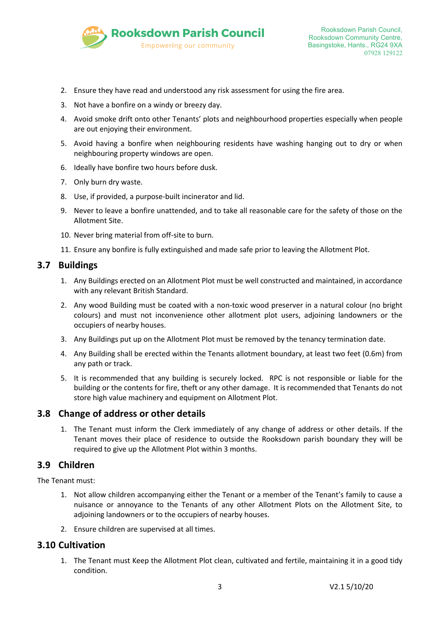

- 2. Ensure they have read and understood any risk assessment for using the fire area.
- 3. Not have a bonfire on a windy or breezy day.
- 4. Avoid smoke drift onto other Tenants' plots and neighbourhood properties especially when people are out enjoying their environment.
- 5. Avoid having a bonfire when neighbouring residents have washing hanging out to dry or when neighbouring property windows are open.
- 6. Ideally have bonfire two hours before dusk.
- 7. Only burn dry waste.
- 8. Use, if provided, a purpose-built incinerator and lid.
- 9. Never to leave a bonfire unattended, and to take all reasonable care for the safety of those on the Allotment Site.
- 10. Never bring material from off-site to burn.
- 11. Ensure any bonfire is fully extinguished and made safe prior to leaving the Allotment Plot.

#### **3.7 Buildings**

- 1. Any Buildings erected on an Allotment Plot must be well constructed and maintained, in accordance with any relevant British Standard.
- 2. Any wood Building must be coated with a non-toxic wood preserver in a natural colour (no bright colours) and must not inconvenience other allotment plot users, adjoining landowners or the occupiers of nearby houses.
- 3. Any Buildings put up on the Allotment Plot must be removed by the tenancy termination date.
- 4. Any Building shall be erected within the Tenants allotment boundary, at least two feet (0.6m) from any path or track.
- 5. It is recommended that any building is securely locked. RPC is not responsible or liable for the building or the contents for fire, theft or any other damage. It is recommended that Tenants do not store high value machinery and equipment on Allotment Plot.

#### <span id="page-2-0"></span>**3.8 Change of address or other details**

1. The Tenant must inform the Clerk immediately of any change of address or other details. If the Tenant moves their place of residence to outside the Rooksdown parish boundary they will be required to give up the Allotment Plot within 3 months.

#### **3.9 Children**

The Tenant must:

- 1. Not allow children accompanying either the Tenant or a member of the Tenant's family to cause a nuisance or annoyance to the Tenants of any other Allotment Plots on the Allotment Site, to adjoining landowners or to the occupiers of nearby houses.
- 2. Ensure children are supervised at all times.

#### **3.10 Cultivation**

1. The Tenant must Keep the Allotment Plot clean, cultivated and fertile, maintaining it in a good tidy condition.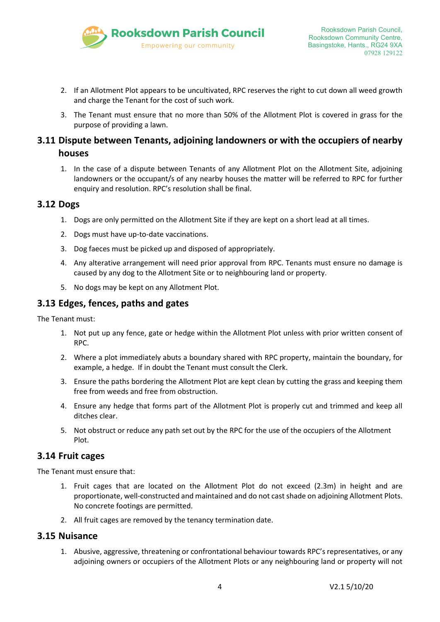

- 2. If an Allotment Plot appears to be uncultivated, RPC reserves the right to cut down all weed growth and charge the Tenant for the cost of such work.
- 3. The Tenant must ensure that no more than 50% of the Allotment Plot is covered in grass for the purpose of providing a lawn.

### **3.11 Dispute between Tenants, adjoining landowners or with the occupiers of nearby houses**

1. In the case of a dispute between Tenants of any Allotment Plot on the Allotment Site, adjoining landowners or the occupant/s of any nearby houses the matter will be referred to RPC for further enquiry and resolution. RPC's resolution shall be final.

#### **3.12 Dogs**

- 1. Dogs are only permitted on the Allotment Site if they are kept on a short lead at all times.
- 2. Dogs must have up-to-date vaccinations.
- 3. Dog faeces must be picked up and disposed of appropriately.
- 4. Any alterative arrangement will need prior approval from RPC. Tenants must ensure no damage is caused by any dog to the Allotment Site or to neighbouring land or property.
- 5. No dogs may be kept on any Allotment Plot.

#### **3.13 Edges, fences, paths and gates**

The Tenant must:

- 1. Not put up any fence, gate or hedge within the Allotment Plot unless with prior written consent of RPC.
- 2. Where a plot immediately abuts a boundary shared with RPC property, maintain the boundary, for example, a hedge. If in doubt the Tenant must consult the Clerk.
- 3. Ensure the paths bordering the Allotment Plot are kept clean by cutting the grass and keeping them free from weeds and free from obstruction.
- 4. Ensure any hedge that forms part of the Allotment Plot is properly cut and trimmed and keep all ditches clear.
- 5. Not obstruct or reduce any path set out by the RPC for the use of the occupiers of the Allotment Plot.

#### **3.14 Fruit cages**

The Tenant must ensure that:

- 1. Fruit cages that are located on the Allotment Plot do not exceed (2.3m) in height and are proportionate, well-constructed and maintained and do not cast shade on adjoining Allotment Plots. No concrete footings are permitted.
- 2. All fruit cages are removed by the tenancy termination date.

#### **3.15 Nuisance**

1. Abusive, aggressive, threatening or confrontational behaviour towards RPC's representatives, or any adjoining owners or occupiers of the Allotment Plots or any neighbouring land or property will not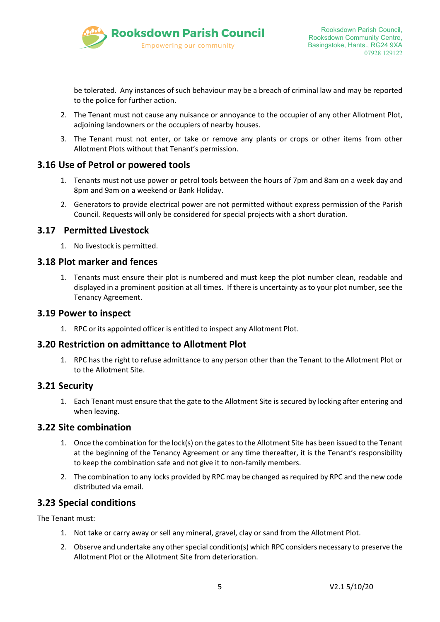

be tolerated. Any instances of such behaviour may be a breach of criminal law and may be reported to the police for further action.

- 2. The Tenant must not cause any nuisance or annoyance to the occupier of any other Allotment Plot, adjoining landowners or the occupiers of nearby houses.
- 3. The Tenant must not enter, or take or remove any plants or crops or other items from other Allotment Plots without that Tenant's permission.

#### **3.16 Use of Petrol or powered tools**

- 1. Tenants must not use power or petrol tools between the hours of 7pm and 8am on a week day and 8pm and 9am on a weekend or Bank Holiday.
- 2. Generators to provide electrical power are not permitted without express permission of the Parish Council. Requests will only be considered for special projects with a short duration.

#### **3.17 Permitted Livestock**

1. No livestock is permitted.

#### **3.18 Plot marker and fences**

1. Tenants must ensure their plot is numbered and must keep the plot number clean, readable and displayed in a prominent position at all times. If there is uncertainty as to your plot number, see the Tenancy Agreement.

#### **3.19 Power to inspect**

1. RPC or its appointed officer is entitled to inspect any Allotment Plot.

#### **3.20 Restriction on admittance to Allotment Plot**

1. RPC has the right to refuse admittance to any person other than the Tenant to the Allotment Plot or to the Allotment Site.

#### **3.21 Security**

1. Each Tenant must ensure that the gate to the Allotment Site is secured by locking after entering and when leaving.

#### **3.22 Site combination**

- 1. Once the combination for the lock(s) on the gates to the Allotment Site has been issued to the Tenant at the beginning of the Tenancy Agreement or any time thereafter, it is the Tenant's responsibility to keep the combination safe and not give it to non-family members.
- 2. The combination to any locks provided by RPC may be changed as required by RPC and the new code distributed via email.

#### **3.23 Special conditions**

The Tenant must:

- 1. Not take or carry away or sell any mineral, gravel, clay or sand from the Allotment Plot.
- 2. Observe and undertake any other special condition(s) which RPC considers necessary to preserve the Allotment Plot or the Allotment Site from deterioration.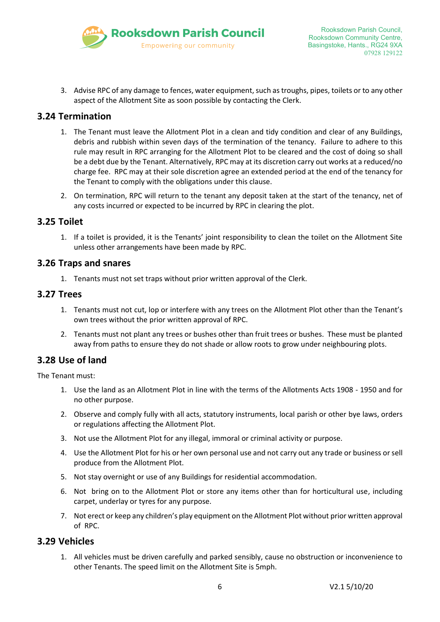

3. Advise RPC of any damage to fences, water equipment, such as troughs, pipes, toilets or to any other aspect of the Allotment Site as soon possible by contacting the Clerk.

#### **3.24 Termination**

- 1. The Tenant must leave the Allotment Plot in a clean and tidy condition and clear of any Buildings, debris and rubbish within seven days of the termination of the tenancy. Failure to adhere to this rule may result in RPC arranging for the Allotment Plot to be cleared and the cost of doing so shall be a debt due by the Tenant. Alternatively, RPC may at its discretion carry out works at a reduced/no charge fee. RPC may at their sole discretion agree an extended period at the end of the tenancy for the Tenant to comply with the obligations under this clause.
- 2. On termination, RPC will return to the tenant any deposit taken at the start of the tenancy, net of any costs incurred or expected to be incurred by RPC in clearing the plot.

#### **3.25 Toilet**

1. If a toilet is provided, it is the Tenants' joint responsibility to clean the toilet on the Allotment Site unless other arrangements have been made by RPC.

#### **3.26 Traps and snares**

1. Tenants must not set traps without prior written approval of the Clerk.

#### **3.27 Trees**

- 1. Tenants must not cut, lop or interfere with any trees on the Allotment Plot other than the Tenant's own trees without the prior written approval of RPC.
- 2. Tenants must not plant any trees or bushes other than fruit trees or bushes. These must be planted away from paths to ensure they do not shade or allow roots to grow under neighbouring plots.

#### **3.28 Use of land**

The Tenant must:

- 1. Use the land as an Allotment Plot in line with the terms of the Allotments Acts 1908 1950 and for no other purpose.
- 2. Observe and comply fully with all acts, statutory instruments, local parish or other bye laws, orders or regulations affecting the Allotment Plot.
- 3. Not use the Allotment Plot for any illegal, immoral or criminal activity or purpose.
- 4. Use the Allotment Plot for his or her own personal use and not carry out any trade or business or sell produce from the Allotment Plot.
- 5. Not stay overnight or use of any Buildings for residential accommodation.
- 6. Not bring on to the Allotment Plot or store any items other than for horticultural use, including carpet, underlay or tyres for any purpose.
- 7. Not erect or keep any children's play equipment on the Allotment Plot without prior written approval of RPC.

#### **3.29 Vehicles**

1. All vehicles must be driven carefully and parked sensibly, cause no obstruction or inconvenience to other Tenants. The speed limit on the Allotment Site is 5mph.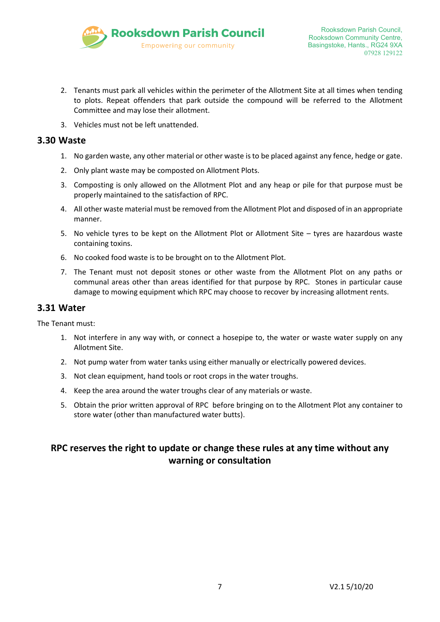

- 2. Tenants must park all vehicles within the perimeter of the Allotment Site at all times when tending to plots. Repeat offenders that park outside the compound will be referred to the Allotment Committee and may lose their allotment.
- 3. Vehicles must not be left unattended.

#### **3.30 Waste**

- 1. No garden waste, any other material or other waste is to be placed against any fence, hedge or gate.
- 2. Only plant waste may be composted on Allotment Plots.
- 3. Composting is only allowed on the Allotment Plot and any heap or pile for that purpose must be properly maintained to the satisfaction of RPC.
- 4. All other waste material must be removed from the Allotment Plot and disposed of in an appropriate manner.
- 5. No vehicle tyres to be kept on the Allotment Plot or Allotment Site tyres are hazardous waste containing toxins.
- 6. No cooked food waste is to be brought on to the Allotment Plot.
- 7. The Tenant must not deposit stones or other waste from the Allotment Plot on any paths or communal areas other than areas identified for that purpose by RPC. Stones in particular cause damage to mowing equipment which RPC may choose to recover by increasing allotment rents.

#### **3.31 Water**

The Tenant must:

- 1. Not interfere in any way with, or connect a hosepipe to, the water or waste water supply on any Allotment Site.
- 2. Not pump water from water tanks using either manually or electrically powered devices.
- 3. Not clean equipment, hand tools or root crops in the water troughs.
- 4. Keep the area around the water troughs clear of any materials or waste.
- 5. Obtain the prior written approval of RPC before bringing on to the Allotment Plot any container to store water (other than manufactured water butts).

### **RPC reserves the right to update or change these rules at any time without any warning or consultation**